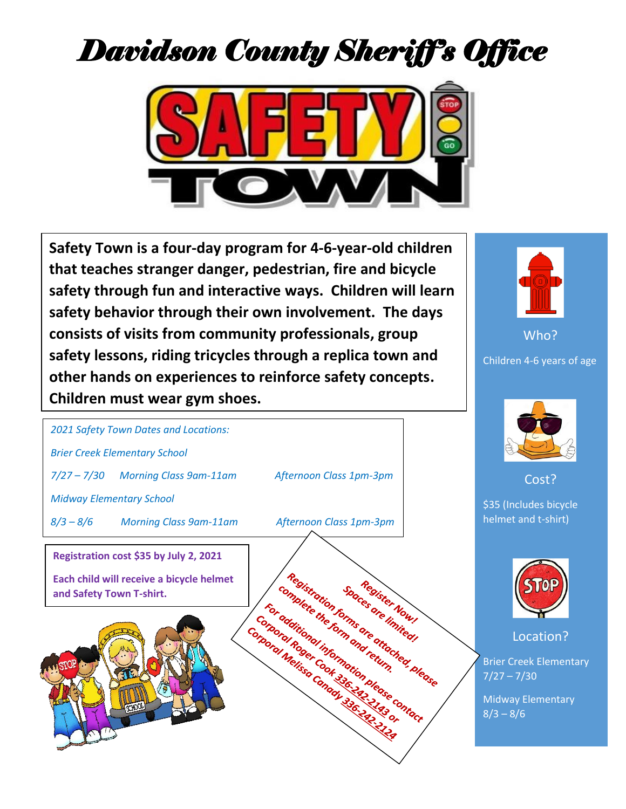## *Davidson County Sheriff's Office*



**Safety Town is a four-day program for 4-6-year-old children that teaches stranger danger, pedestrian, fire and bicycle safety through fun and interactive ways. Children will learn safety behavior through their own involvement. The days consists of visits from community professionals, group safety lessons, riding tricycles through a replica town and other hands on experiences to reinforce safety concepts. Children must wear gym shoes.**



Who? Children 4-6 years of age



Cost?

\$35 (Includes bicycle helmet and t-shirt)



Location?

Brier Creek Elementary  $7/27 - 7/30$ 

Midway Elementary  $8/3 - 8/6$